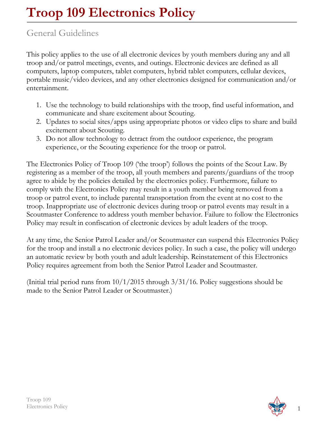## General Guidelines

This policy applies to the use of all electronic devices by youth members during any and all troop and/or patrol meetings, events, and outings. Electronic devices are defined as all computers, laptop computers, tablet computers, hybrid tablet computers, cellular devices, portable music/video devices, and any other electronics designed for communication and/or entertainment.

- 1. Use the technology to build relationships with the troop, find useful information, and communicate and share excitement about Scouting.
- 2. Updates to social sites/apps using appropriate photos or video clips to share and build excitement about Scouting.
- 3. Do not allow technology to detract from the outdoor experience, the program experience, or the Scouting experience for the troop or patrol.

The Electronics Policy of Troop 109 ('the troop') follows the points of the Scout Law. By registering as a member of the troop, all youth members and parents/guardians of the troop agree to abide by the policies detailed by the electronics policy. Furthermore, failure to comply with the Electronics Policy may result in a youth member being removed from a troop or patrol event, to include parental transportation from the event at no cost to the troop. Inappropriate use of electronic devices during troop or patrol events may result in a Scoutmaster Conference to address youth member behavior. Failure to follow the Electronics Policy may result in confiscation of electronic devices by adult leaders of the troop.

At any time, the Senior Patrol Leader and/or Scoutmaster can suspend this Electronics Policy for the troop and install a no electronic devices policy. In such a case, the policy will undergo an automatic review by both youth and adult leadership. Reinstatement of this Electronics Policy requires agreement from both the Senior Patrol Leader and Scoutmaster.

(Initial trial period runs from 10/1/2015 through 3/31/16. Policy suggestions should be made to the Senior Patrol Leader or Scoutmaster.)

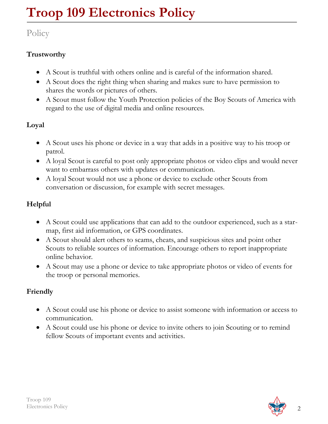# Policy

## **Trustworthy**

- A Scout is truthful with others online and is careful of the information shared.
- A Scout does the right thing when sharing and makes sure to have permission to shares the words or pictures of others.
- A Scout must follow the Youth Protection policies of the Boy Scouts of America with regard to the use of digital media and online resources.

## **Loyal**

- A Scout uses his phone or device in a way that adds in a positive way to his troop or patrol.
- A loyal Scout is careful to post only appropriate photos or video clips and would never want to embarrass others with updates or communication.
- A loyal Scout would not use a phone or device to exclude other Scouts from conversation or discussion, for example with secret messages.

## **Helpful**

- A Scout could use applications that can add to the outdoor experienced, such as a starmap, first aid information, or GPS coordinates.
- A Scout should alert others to scams, cheats, and suspicious sites and point other Scouts to reliable sources of information. Encourage others to report inappropriate online behavior.
- A Scout may use a phone or device to take appropriate photos or video of events for the troop or personal memories.

## **Friendly**

- A Scout could use his phone or device to assist someone with information or access to communication.
- A Scout could use his phone or device to invite others to join Scouting or to remind fellow Scouts of important events and activities.

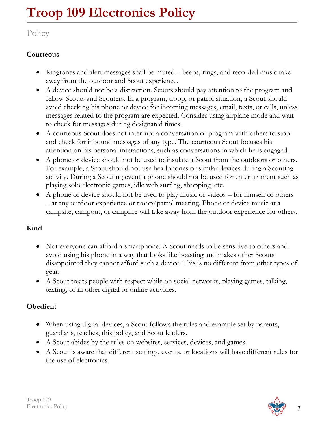# Policy

#### **Courteous**

- Ringtones and alert messages shall be muted beeps, rings, and recorded music take away from the outdoor and Scout experience.
- A device should not be a distraction. Scouts should pay attention to the program and fellow Scouts and Scouters. In a program, troop, or patrol situation, a Scout should avoid checking his phone or device for incoming messages, email, texts, or calls, unless messages related to the program are expected. Consider using airplane mode and wait to check for messages during designated times.
- A courteous Scout does not interrupt a conversation or program with others to stop and check for inbound messages of any type. The courteous Scout focuses his attention on his personal interactions, such as conversations in which he is engaged.
- A phone or device should not be used to insulate a Scout from the outdoors or others. For example, a Scout should not use headphones or similar devices during a Scouting activity. During a Scouting event a phone should not be used for entertainment such as playing solo electronic games, idle web surfing, shopping, etc.
- A phone or device should not be used to play music or videos for himself or others – at any outdoor experience or troop/patrol meeting. Phone or device music at a campsite, campout, or campfire will take away from the outdoor experience for others.

#### **Kind**

- Not everyone can afford a smartphone. A Scout needs to be sensitive to others and avoid using his phone in a way that looks like boasting and makes other Scouts disappointed they cannot afford such a device. This is no different from other types of gear.
- A Scout treats people with respect while on social networks, playing games, talking, texting, or in other digital or online activities.

#### **Obedient**

- When using digital devices, a Scout follows the rules and example set by parents, guardians, teaches, this policy, and Scout leaders.
- A Scout abides by the rules on websites, services, devices, and games.
- A Scout is aware that different settings, events, or locations will have different rules for the use of electronics.